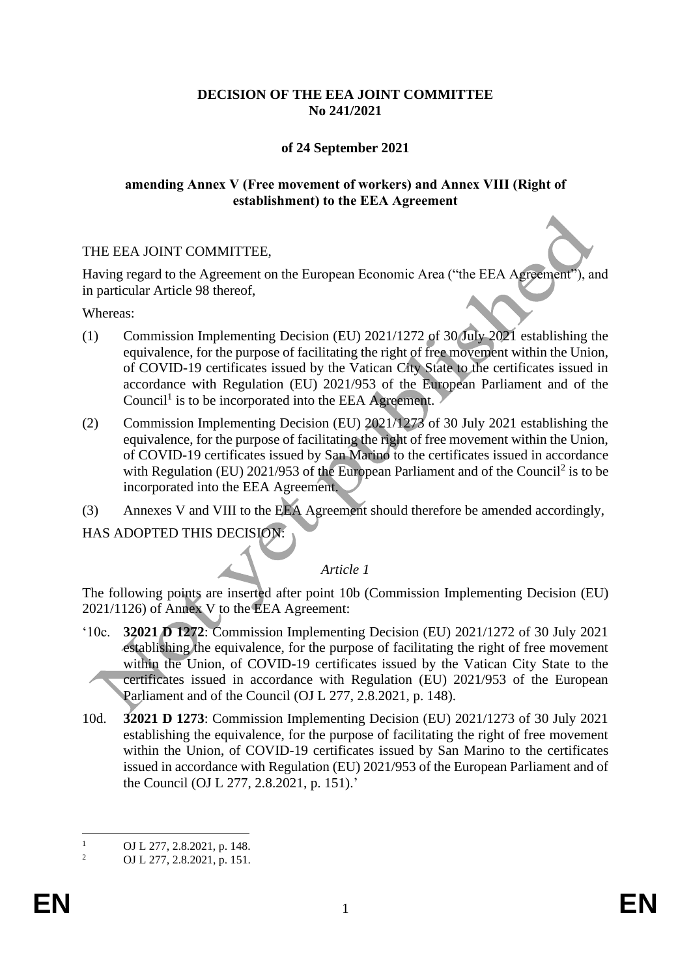## **DECISION OF THE EEA JOINT COMMITTEE No 241/2021**

## **of 24 September 2021**

#### **amending Annex V (Free movement of workers) and Annex VIII (Right of establishment) to the EEA Agreement**

#### THE EEA JOINT COMMITTEE,

Having regard to the Agreement on the European Economic Area ("the EEA Agreement"), and in particular Article 98 thereof,

Whereas:

- (1) Commission Implementing Decision (EU) 2021/1272 of 30 July 2021 establishing the equivalence, for the purpose of facilitating the right of free movement within the Union, of COVID-19 certificates issued by the Vatican City State to the certificates issued in accordance with Regulation (EU) 2021/953 of the European Parliament and of the Council<sup>1</sup> is to be incorporated into the EEA Agreement.
- (2) Commission Implementing Decision (EU) 2021/1273 of 30 July 2021 establishing the equivalence, for the purpose of facilitating the right of free movement within the Union, of COVID-19 certificates issued by San Marino to the certificates issued in accordance with Regulation (EU)  $2021/953$  of the European Parliament and of the Council<sup>2</sup> is to be incorporated into the EEA Agreement.
- (3) Annexes V and VIII to the EEA Agreement should therefore be amended accordingly,

HAS ADOPTED THIS DECISION:

#### *Article 1*

The following points are inserted after point 10b (Commission Implementing Decision (EU) 2021/1126) of Annex V to the EEA Agreement:

- '10c. **32021 D 1272**: Commission Implementing Decision (EU) 2021/1272 of 30 July 2021 establishing the equivalence, for the purpose of facilitating the right of free movement within the Union, of COVID-19 certificates issued by the Vatican City State to the certificates issued in accordance with Regulation (EU) 2021/953 of the European Parliament and of the Council (OJ L 277, 2.8.2021, p. 148).
- 10d. **32021 D 1273**: Commission Implementing Decision (EU) 2021/1273 of 30 July 2021 establishing the equivalence, for the purpose of facilitating the right of free movement within the Union, of COVID-19 certificates issued by San Marino to the certificates issued in accordance with Regulation (EU) 2021/953 of the European Parliament and of the Council (OJ L 277, 2.8.2021, p. 151).'

 $\frac{1}{2}$  OJ L 277, 2.8.2021, p. 148.

<sup>2</sup> OJ L 277, 2.8.2021, p. 151.